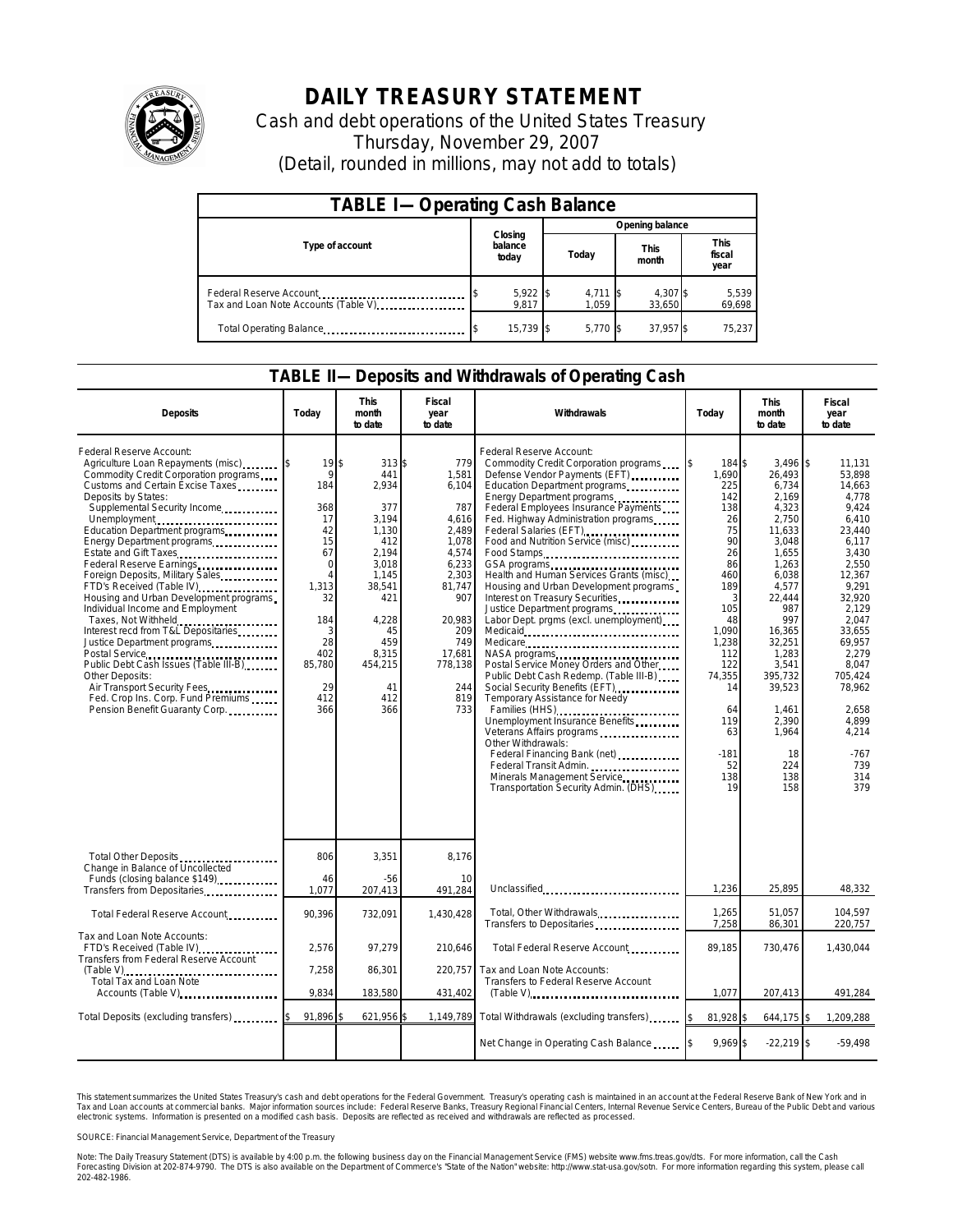

## **DAILY TREASURY STATEMENT**

Cash and debt operations of the United States Treasury Thursday, November 29, 2007 (Detail, rounded in millions, may not add to totals)

| <b>TABLE I-Operating Cash Balance</b>                           |                             |  |                     |                      |                               |  |  |  |
|-----------------------------------------------------------------|-----------------------------|--|---------------------|----------------------|-------------------------------|--|--|--|
|                                                                 | Closing<br>balance<br>today |  | Opening balance     |                      |                               |  |  |  |
| Type of account                                                 |                             |  | Today               | <b>This</b><br>month | <b>This</b><br>fiscal<br>year |  |  |  |
| Federal Reserve Account<br>Tax and Loan Note Accounts (Table V) | 5,922 \$<br>9.817           |  | $4,711$ \$<br>1.059 | 4,307 \$<br>33.650   | 5,539<br>69,698               |  |  |  |
| Total Operating Balance                                         | 15.739 \$                   |  | 5.770 \$            | 37,957 \$            | 75,237                        |  |  |  |

## **TABLE II—Deposits and Withdrawals of Operating Cash**

| <b>Deposits</b>                                                                                                                                                                                                                                                                                                                                                                                                                                                                                                                                                                                                                                                                                                           | Today                                                                                                                                                 | <b>This</b><br>month<br>to date                                                                                                                                | Fiscal<br>year<br>to date                                                                                                                                             | Withdrawals                                                                                                                                                                                                                                                                                                                                                                                                                                                                                                                                                                                                                                                                                                                                                                                                                                                                                                                                                                            | Today                                                                                                                                                                                              | <b>This</b><br>month<br>to date                                                                                                                                                                                                                          | Fiscal<br>year<br>to date                                                                                                                                                                                                                                      |
|---------------------------------------------------------------------------------------------------------------------------------------------------------------------------------------------------------------------------------------------------------------------------------------------------------------------------------------------------------------------------------------------------------------------------------------------------------------------------------------------------------------------------------------------------------------------------------------------------------------------------------------------------------------------------------------------------------------------------|-------------------------------------------------------------------------------------------------------------------------------------------------------|----------------------------------------------------------------------------------------------------------------------------------------------------------------|-----------------------------------------------------------------------------------------------------------------------------------------------------------------------|----------------------------------------------------------------------------------------------------------------------------------------------------------------------------------------------------------------------------------------------------------------------------------------------------------------------------------------------------------------------------------------------------------------------------------------------------------------------------------------------------------------------------------------------------------------------------------------------------------------------------------------------------------------------------------------------------------------------------------------------------------------------------------------------------------------------------------------------------------------------------------------------------------------------------------------------------------------------------------------|----------------------------------------------------------------------------------------------------------------------------------------------------------------------------------------------------|----------------------------------------------------------------------------------------------------------------------------------------------------------------------------------------------------------------------------------------------------------|----------------------------------------------------------------------------------------------------------------------------------------------------------------------------------------------------------------------------------------------------------------|
| Federal Reserve Account:<br>Agriculture Loan Repayments (misc)<br>Commodity Credit Corporation programs<br>Customs and Certain Excise Taxes<br>Deposits by States:<br>Supplemental Security Income<br>Unemployment<br>Education Department programs<br>Energy Department programs<br>Estate and Gift Taxes<br>Foreign Deposits, Military Sales<br>FTD's Received (Table IV)<br>Housing and Urban Development programs<br>Individual Income and Employment<br>Taxes, Not Withheld<br>Interest recd from T&L Depositaries<br>Justice Department programs<br>Public Debt Cash Issues (Table III-B)<br>Other Deposits:<br>Air Transport Security Fees<br>Fed. Crop Ins. Corp. Fund Premiums<br>Pension Benefit Guaranty Corp. | 19S<br>9<br>184<br>368<br>17<br>42<br>15<br>67<br>$\mathbf 0$<br>$\overline{4}$<br>1,313<br>32<br>184<br>3<br>28<br>402<br>85,780<br>29<br>412<br>366 | 313S<br>441<br>2,934<br>377<br>3.194<br>1.130<br>412<br>2,194<br>3.018<br>1,145<br>38,541<br>421<br>4,228<br>45<br>459<br>8,315<br>454,215<br>41<br>412<br>366 | 779<br>1,581<br>6,104<br>787<br>4.616<br>2.489<br>1.078<br>4,574<br>6,233<br>2,303<br>81,747<br>907<br>20,983<br>209<br>749<br>17,681<br>778,138<br>244<br>819<br>733 | Federal Reserve Account:<br>Commodity Credit Corporation programs<br>Defense Vendor Payments (EFT)<br>Education Department programs<br>Energy Department programs<br>Federal Employees Insurance Payments<br>Fed. Highway Administration programs<br>Federal Salaries (EFT)<br>Food and Nutrition Service (misc)<br>Food Stamps<br>GSA programs<br>Health and Human Services Grants (misc)<br>Housing and Urban Development programs<br>Interest on Treasury Securities.<br>Justice Department programs<br>Labor Dept. prgms (excl. unemployment)<br>Medicare<br>NASA programs<br>Postal Service Money Orders and Other<br>Public Debt Cash Redemp. (Table III-B)<br>Social Security Benefits (EFT)<br>Temporary Assistance for Needy<br>Families (HHS) <b></b><br>Unemployment Insurance Benefits<br>Veterans Affairs programs<br>Other Withdrawals:<br>Federal Financing Bank (net)<br>Federal Transit Admin.<br>Minerals Management Service<br>Transportation Security Admin. (DHS) | 184 \$<br>1,690<br>225<br>142<br>138<br>26<br>75<br>90<br>26<br>86<br>460<br>189<br>3<br>105<br>48<br>1,090<br>1,238<br>112<br>122<br>74,355<br>14<br>64<br>119<br>63<br>$-181$<br>52<br>138<br>19 | $3,496$ \$<br>26,493<br>6,734<br>2,169<br>4,323<br>2,750<br>11,633<br>3,048<br>1,655<br>1,263<br>6,038<br>4,577<br>22,444<br>987<br>997<br>16,365<br>32,251<br>1,283<br>3,541<br>395,732<br>39,523<br>1,461<br>2,390<br>1,964<br>18<br>224<br>138<br>158 | 11.131<br>53.898<br>14,663<br>4.778<br>9.424<br>6,410<br>23.440<br>6.117<br>3,430<br>2,550<br>12,367<br>9.291<br>32,920<br>2.129<br>2.047<br>33,655<br>69,957<br>2.279<br>8,047<br>705.424<br>78,962<br>2,658<br>4,899<br>4,214<br>$-767$<br>739<br>314<br>379 |
| Total Other Deposits<br>Change in Balance of Uncollected                                                                                                                                                                                                                                                                                                                                                                                                                                                                                                                                                                                                                                                                  | 806                                                                                                                                                   | 3,351                                                                                                                                                          | 8,176                                                                                                                                                                 |                                                                                                                                                                                                                                                                                                                                                                                                                                                                                                                                                                                                                                                                                                                                                                                                                                                                                                                                                                                        |                                                                                                                                                                                                    |                                                                                                                                                                                                                                                          |                                                                                                                                                                                                                                                                |
| Funds (closing balance \$149)<br>Transfers from Depositaries                                                                                                                                                                                                                                                                                                                                                                                                                                                                                                                                                                                                                                                              | 46<br>1,077                                                                                                                                           | $-56$<br>207,413                                                                                                                                               | 10<br>491,284                                                                                                                                                         | Unclassified                                                                                                                                                                                                                                                                                                                                                                                                                                                                                                                                                                                                                                                                                                                                                                                                                                                                                                                                                                           | 1,236                                                                                                                                                                                              | 25,895                                                                                                                                                                                                                                                   | 48,332                                                                                                                                                                                                                                                         |
| Total Federal Reserve Account                                                                                                                                                                                                                                                                                                                                                                                                                                                                                                                                                                                                                                                                                             | 90,396                                                                                                                                                | 732,091                                                                                                                                                        | 1,430,428                                                                                                                                                             | Total, Other Withdrawals<br>Transfers to Depositaries                                                                                                                                                                                                                                                                                                                                                                                                                                                                                                                                                                                                                                                                                                                                                                                                                                                                                                                                  | 1,265<br>7,258                                                                                                                                                                                     | 51,057<br>86,301                                                                                                                                                                                                                                         | 104,597<br>220,757                                                                                                                                                                                                                                             |
| Tax and Loan Note Accounts:<br>FTD's Received (Table IV)<br>Transfers from Federal Reserve Account                                                                                                                                                                                                                                                                                                                                                                                                                                                                                                                                                                                                                        | 2,576                                                                                                                                                 | 97,279                                                                                                                                                         | 210,646                                                                                                                                                               | Total Federal Reserve Account                                                                                                                                                                                                                                                                                                                                                                                                                                                                                                                                                                                                                                                                                                                                                                                                                                                                                                                                                          | 89,185                                                                                                                                                                                             | 730,476                                                                                                                                                                                                                                                  | 1,430,044                                                                                                                                                                                                                                                      |
| $(Table \vee$<br>Total Tax and Loan Note                                                                                                                                                                                                                                                                                                                                                                                                                                                                                                                                                                                                                                                                                  | 7,258                                                                                                                                                 | 86,301                                                                                                                                                         | 220,757                                                                                                                                                               | Tax and Loan Note Accounts:<br>Transfers to Federal Reserve Account                                                                                                                                                                                                                                                                                                                                                                                                                                                                                                                                                                                                                                                                                                                                                                                                                                                                                                                    |                                                                                                                                                                                                    |                                                                                                                                                                                                                                                          |                                                                                                                                                                                                                                                                |
| Accounts (Table V)                                                                                                                                                                                                                                                                                                                                                                                                                                                                                                                                                                                                                                                                                                        | 9,834                                                                                                                                                 | 183,580                                                                                                                                                        | 431,402                                                                                                                                                               |                                                                                                                                                                                                                                                                                                                                                                                                                                                                                                                                                                                                                                                                                                                                                                                                                                                                                                                                                                                        | 1,077                                                                                                                                                                                              | 207,413                                                                                                                                                                                                                                                  | 491,284                                                                                                                                                                                                                                                        |
| Total Deposits (excluding transfers)                                                                                                                                                                                                                                                                                                                                                                                                                                                                                                                                                                                                                                                                                      | 91,896 \$                                                                                                                                             | 621,956 \$                                                                                                                                                     |                                                                                                                                                                       | 1,149,789 Total Withdrawals (excluding transfers)                                                                                                                                                                                                                                                                                                                                                                                                                                                                                                                                                                                                                                                                                                                                                                                                                                                                                                                                      | 81,928 \$                                                                                                                                                                                          | 644,175 \$                                                                                                                                                                                                                                               | 1,209,288                                                                                                                                                                                                                                                      |
|                                                                                                                                                                                                                                                                                                                                                                                                                                                                                                                                                                                                                                                                                                                           |                                                                                                                                                       |                                                                                                                                                                |                                                                                                                                                                       | Net Change in Operating Cash Balance                                                                                                                                                                                                                                                                                                                                                                                                                                                                                                                                                                                                                                                                                                                                                                                                                                                                                                                                                   | $9.969$ \$                                                                                                                                                                                         | $-22,219$ \$                                                                                                                                                                                                                                             | $-59.498$                                                                                                                                                                                                                                                      |

This statement summarizes the United States Treasury's cash and debt operations for the Federal Government. Treasury's operating cash is maintained in an account at the Federal Reserve Bank of New York and in<br>Tax and Loan narizes the United States Treasury's cash and debt operations for the Federal Government. Treasury's operating cash is maintained in an account at the Federal Reserve Bank<br>nts at commercial banks. Major information sources

SOURCE: Financial Management Service, Department of the Treasury

Note: The Daily Treasury Statement (DTS) is available by 4:00 p.m. the following business day on the Financial Management Service (FMS) website www.fms.treas.gov/dts. For more information, call the Cash<br>Forecasting Divisio 202-482-1986.